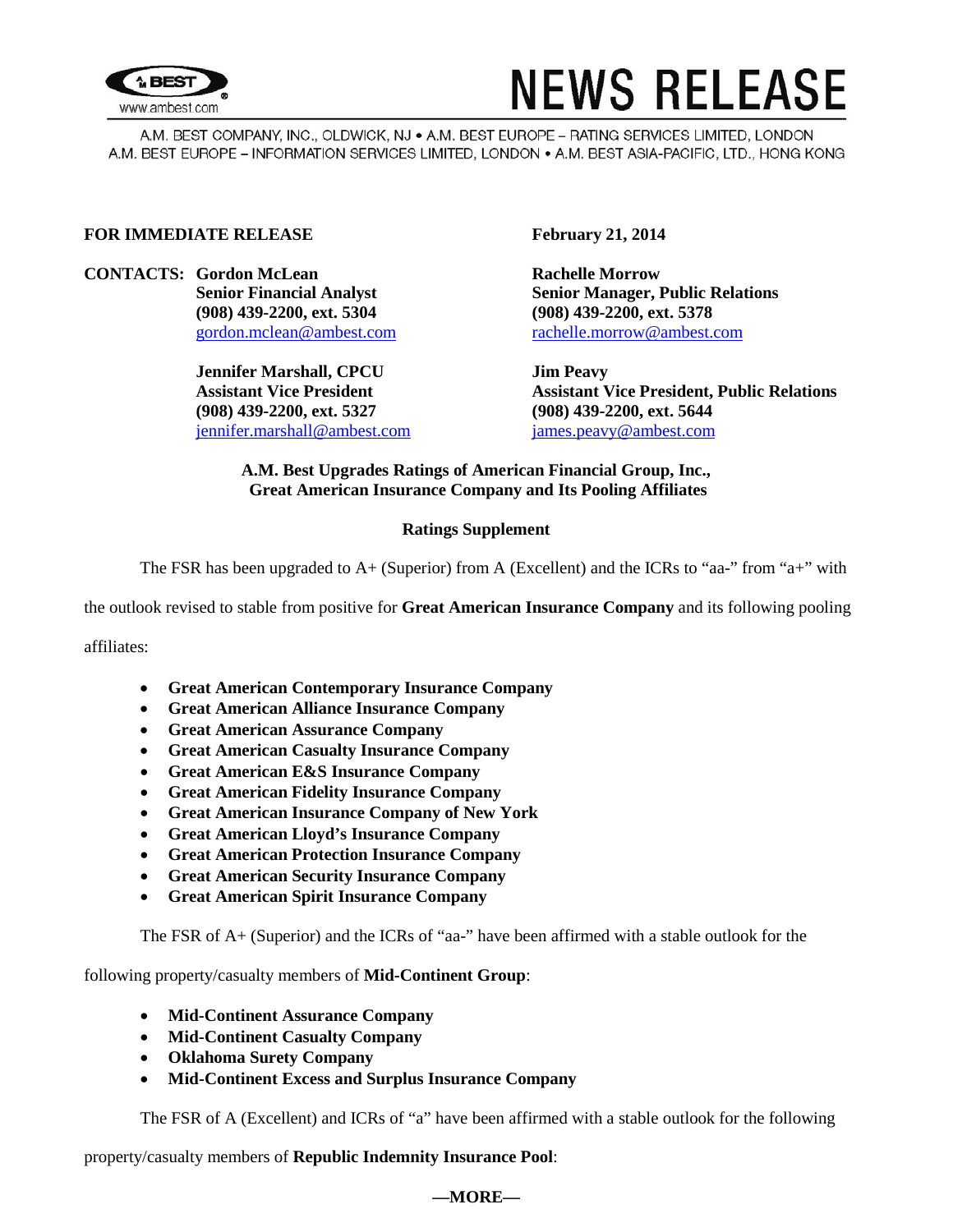

# **NEWS RELEASE**

A.M. BEST COMPANY, INC., OLDWICK, NJ . A.M. BEST EUROPE - RATING SERVICES LIMITED, LONDON A.M. BEST EUROPE - INFORMATION SERVICES LIMITED, LONDON . A.M. BEST ASIA-PACIFIC, LTD., HONG KONG

### **FOR IMMEDIATE RELEASE February 21, 2014**

**CONTACTS: Gordon McLean Rachelle Morrow (908) 439-2200, ext. 5304 (908) 439-2200, ext. 5378**

> **Jennifer Marshall, CPCU Jim Peavy (908) 439-2200, ext. 5327 (908) 439-2200, ext. 5644** [jennifer.marshall@ambest.com](mailto:jennifer.marshall@ambest.com) [james.peavy@ambest.com](mailto:james.peavy@ambest.com)

**Senior Financial Analyst Senior Manager, Public Relations** [gordon.mclean@ambest.com](mailto:gordon.mclean@ambest.com) [rachelle.morrow@ambest.com](mailto:rachelle.morrow@ambest.com)

**Assistant Vice President Assistant Vice President, Public Relations**

#### **A.M. Best Upgrades Ratings of American Financial Group, Inc., Great American Insurance Company and Its Pooling Affiliates**

### **Ratings Supplement**

The FSR has been upgraded to  $A+$  (Superior) from A (Excellent) and the ICRs to "aa-" from "a+" with

the outlook revised to stable from positive for **Great American Insurance Company** and its following pooling

affiliates:

- **Great American Contemporary Insurance Company**
- **Great American Alliance Insurance Company**
- **Great American Assurance Company**
- **Great American Casualty Insurance Company**
- **Great American E&S Insurance Company**
- **Great American Fidelity Insurance Company**
- **Great American Insurance Company of New York**
- **Great American Lloyd's Insurance Company**
- **Great American Protection Insurance Company**
- **Great American Security Insurance Company**
- **Great American Spirit Insurance Company**

The FSR of A+ (Superior) and the ICRs of "aa-" have been affirmed with a stable outlook for the

following property/casualty members of **Mid-Continent Group**:

- **Mid-Continent Assurance Company**
- **Mid-Continent Casualty Company**
- **Oklahoma Surety Company**
- **Mid-Continent Excess and Surplus Insurance Company**

The FSR of A (Excellent) and ICRs of "a" have been affirmed with a stable outlook for the following

property/casualty members of **Republic Indemnity Insurance Pool**:

## **—MORE—**